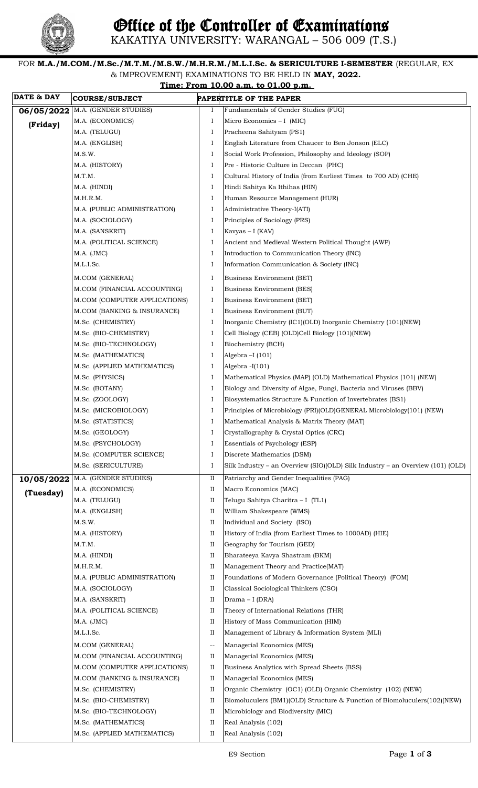

KAKATIYA UNIVERSITY: WARANGAL – 506 009 (T.S.)

FOR **M.A./M.COM./M.Sc./M.T.M./M.S.W./M.H.R.M./M.L.I.Sc. & SERICULTURE I-SEMESTER** (REGULAR, EX & IMPROVEMENT) EXAMINATIONS TO BE HELD IN **MAY, 2022. Time: From 10.00 a.m. to 01.00 p.m.** 

| <b>DATE &amp; DAY</b> | <b>COURSE/SUBJECT</b>         |          | PAPERTITLE OF THE PAPER                                                        |
|-----------------------|-------------------------------|----------|--------------------------------------------------------------------------------|
| 06/05/2022            | M.A. (GENDER STUDIES)         | Ι.       | Fundamentals of Gender Studies (FUG)                                           |
| (Friday)              | M.A. (ECONOMICS)              | Ι        | Micro Economics - I (MIC)                                                      |
|                       | M.A. (TELUGU)                 | Ι        | Pracheena Sahityam (PS1)                                                       |
|                       | M.A. (ENGLISH)                | Ι        | English Literature from Chaucer to Ben Jonson (ELC)                            |
|                       | M.S.W.                        | Ι        | Social Work Profession, Philosophy and Ideology (SOP)                          |
|                       | M.A. (HISTORY)                | Ι        | Pre - Historic Culture in Deccan (PHC)                                         |
|                       | M.T.M.                        | Ι        | Cultural History of India (from Earliest Times to 700 AD) (CHE)                |
|                       | M.A. (HINDI)                  | Ι        | Hindi Sahitya Ka Ithihas (HIN)                                                 |
|                       | M.H.R.M.                      | Ι        | Human Resource Management (HUR)                                                |
|                       | M.A. (PUBLIC ADMINISTRATION)  | Ι        | Administrative Theory-I(ATI)                                                   |
|                       | M.A. (SOCIOLOGY)              | Ι        | Principles of Sociology (PRS)                                                  |
|                       | M.A. (SANSKRIT)               | Ι        | Kavyas – I (KAV)                                                               |
|                       | M.A. (POLITICAL SCIENCE)      | Ι        | Ancient and Medieval Western Political Thought (AWP)                           |
|                       | M.A. (JMC)                    | Ι        | Introduction to Communication Theory (INC)                                     |
|                       | M.L.I.Sc.                     | Ι        | Information Communication & Society (INC)                                      |
|                       | M.COM (GENERAL)               | Ι        | <b>Business Environment (BET)</b>                                              |
|                       | M.COM (FINANCIAL ACCOUNTING)  | Ι        | <b>Business Environment (BES)</b>                                              |
|                       | M.COM (COMPUTER APPLICATIONS) | Ι        | <b>Business Environment (BET)</b>                                              |
|                       | M.COM (BANKING & INSURANCE)   | Ι        | Business Environment (BUT)                                                     |
|                       | M.Sc. (CHEMISTRY)             | Ι        | Inorganic Chemistry (IC1)(OLD) Inorganic Chemistry (101)(NEW)                  |
|                       | M.Sc. (BIO-CHEMISTRY)         | Ι        | Cell Biology (CEB) (OLD)Cell Biology (101)(NEW)                                |
|                       | M.Sc. (BIO-TECHNOLOGY)        | Ι        | Biochemistry (BCH)                                                             |
|                       | M.Sc. (MATHEMATICS)           | Ι        | Algebra $-I(101)$                                                              |
|                       | M.Sc. (APPLIED MATHEMATICS)   | Ι        | Algebra -I(101)                                                                |
|                       | M.Sc. (PHYSICS)               | Ι        | Mathematical Physics (MAP) (OLD) Mathematical Physics (101) (NEW)              |
|                       | M.Sc. (BOTANY)                | Ι        | Biology and Diversity of Algae, Fungi, Bacteria and Viruses (BBV)              |
|                       | M.Sc. (ZOOLOGY)               | Ι        | Biosystematics Structure & Function of Invertebrates (BS1)                     |
|                       | M.Sc. (MICROBIOLOGY)          | Ι        | Principles of Microbiology (PRI)(OLD)GENERAL Microbiology(101) (NEW)           |
|                       | M.Sc. (STATISTICS)            | Ι        | Mathematical Analysis & Matrix Theory (MAT)                                    |
|                       | M.Sc. (GEOLOGY)               | Ι        | Crystallography & Crystal Optics (CRC)                                         |
|                       | M.Sc. (PSYCHOLOGY)            | -1       | Essentials of Psychology (ESP)                                                 |
|                       | M.Sc. (COMPUTER SCIENCE)      | Ι        | Discrete Mathematics (DSM)                                                     |
|                       | M.Sc. (SERICULTURE)           | Ι        | Silk Industry – an Overview (SIO)(OLD) Silk Industry – an Overview (101) (OLD) |
| 10/05/2022            | M.A. (GENDER STUDIES)         | $\rm II$ | Patriarchy and Gender Inequalities (PAG)                                       |
| (Tuesday)             | M.A. (ECONOMICS)              | П        | Macro Economics (MAC)                                                          |
|                       | M.A. (TELUGU)                 | П        | Telugu Sahitya Charitra - I (TL1)                                              |
|                       | M.A. (ENGLISH)                | П        | William Shakespeare (WMS)                                                      |
|                       | M.S.W.                        | $\rm II$ | Individual and Society (ISO)                                                   |
|                       | M.A. (HISTORY)                | П        | History of India (from Earliest Times to 1000AD) (HIE)                         |
|                       | M.T.M.                        | П        | Geography for Tourism (GED)                                                    |
|                       | M.A. (HINDI)                  | $\rm II$ | Bharateeya Kavya Shastram (BKM)                                                |
|                       | M.H.R.M.                      | П        | Management Theory and Practice(MAT)                                            |
|                       | M.A. (PUBLIC ADMINISTRATION)  | П        | Foundations of Modern Governance (Political Theory) (FOM)                      |
|                       | M.A. (SOCIOLOGY)              | П        | Classical Sociological Thinkers (CSO)                                          |
|                       | M.A. (SANSKRIT)               | П        | Drama - I (DRA)                                                                |
|                       | M.A. (POLITICAL SCIENCE)      | П        | Theory of International Relations (THR)                                        |
|                       | M.A. (JMC)                    | П        | History of Mass Communication (HIM)                                            |
|                       | M.L.I.Sc.                     | П        | Management of Library & Information System (MLI)                               |
|                       | M.COM (GENERAL)               | $-$      | Managerial Economics (MES)                                                     |
|                       | M.COM (FINANCIAL ACCOUNTING)  | П        | Managerial Economics (MES)                                                     |
|                       | M.COM (COMPUTER APPLICATIONS) | П        | Business Analytics with Spread Sheets (BSS)                                    |
|                       | M.COM (BANKING & INSURANCE)   | П        | Managerial Economics (MES)                                                     |
|                       | M.Sc. (CHEMISTRY)             | $\rm II$ | Organic Chemistry (OC1) (OLD) Organic Chemistry (102) (NEW)                    |
|                       | M.Sc. (BIO-CHEMISTRY)         | П        | Biomoluculers (BM1)(OLD) Structure & Function of Biomoluculers(102)(NEW)       |
|                       | M.Sc. (BIO-TECHNOLOGY)        | II       | Microbiology and Biodiversity (MIC)                                            |
|                       | M.Sc. (MATHEMATICS)           | П        | Real Analysis (102)                                                            |
|                       | M.Sc. (APPLIED MATHEMATICS)   | П        | Real Analysis (102)                                                            |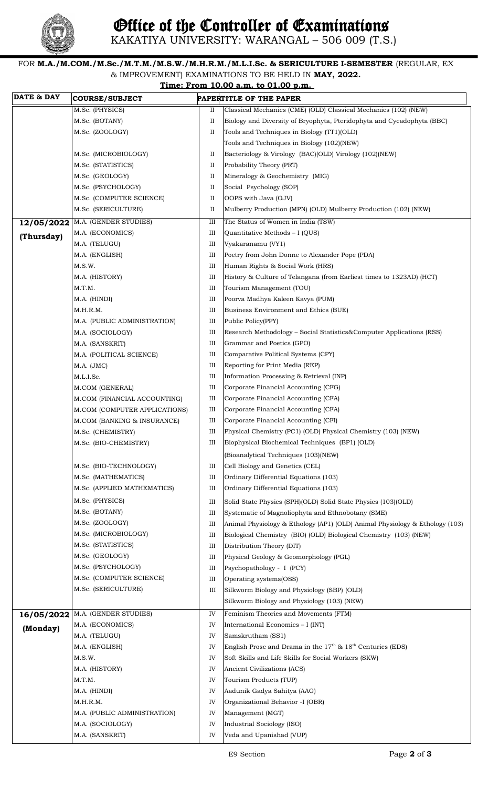

## FOR **M.A./M.COM./M.Sc./M.T.M./M.S.W./M.H.R.M./M.L.I.Sc. & SERICULTURE I-SEMESTER** (REGULAR, EX & IMPROVEMENT) EXAMINATIONS TO BE HELD IN **MAY, 2022.**

|                       |                               |    | & IMPROVEMENT) EXAMINATIONS TO BE HELD IN MAY, 2022.<br>Time: From 10.00 a.m. to 01.00 p.m. |
|-----------------------|-------------------------------|----|---------------------------------------------------------------------------------------------|
| <b>DATE &amp; DAY</b> | <b>COURSE/SUBJECT</b>         |    | PAPERTITLE OF THE PAPER                                                                     |
|                       | M.Sc. (PHYSICS)               | П  | Classical Mechanics (CME) (OLD) Classical Mechanics (102) (NEW)                             |
|                       | M.Sc. (BOTANY)                | П  | Biology and Diversity of Bryophyta, Pteridophyta and Cycadophyta (BBC)                      |
|                       | M.Sc. (ZOOLOGY)               | П  | Tools and Techniques in Biology (TT1)(OLD)                                                  |
|                       |                               |    | Tools and Techniques in Biology (102)(NEW)                                                  |
|                       | M.Sc. (MICROBIOLOGY)          | П  | Bacteriology & Virology (BAC)(OLD) Virology (102)(NEW)                                      |
|                       | M.Sc. (STATISTICS)            | П  | Probability Theory (PRT)                                                                    |
|                       | M.Sc. (GEOLOGY)               | П  | Mineralogy & Geochemistry (MIG)                                                             |
|                       | M.Sc. (PSYCHOLOGY)            | П  | Social Psychology (SOP)                                                                     |
|                       | M.Sc. (COMPUTER SCIENCE)      | П  | OOPS with Java (OJV)                                                                        |
|                       | M.Sc. (SERICULTURE)           | П  | Mulberry Production (MPN) (OLD) Mulberry Production (102) (NEW)                             |
| 12/05/2022            | M.A. (GENDER STUDIES)         | Ш  | The Status of Women in India (TSW)                                                          |
| (Thursday)            | M.A. (ECONOMICS)              | Ш  | Quantitative Methods - I (QUS)                                                              |
|                       | M.A. (TELUGU)                 | Ш  | Vyakaranamu (VY1)                                                                           |
|                       | M.A. (ENGLISH)                | Ш  | Poetry from John Donne to Alexander Pope (PDA)                                              |
|                       | M.S.W.                        | Ш  | Human Rights & Social Work (HRS)                                                            |
|                       | M.A. (HISTORY)                | Ш  | History & Culture of Telangana (from Earliest times to 1323AD) (HCT)                        |
|                       | M.T.M.                        | Ш  | Tourism Management (TOU)                                                                    |
|                       | M.A. (HINDI)                  | Ш  | Poorva Madhya Kaleen Kavya (PUM)                                                            |
|                       | M.H.R.M.                      | Ш  | Business Environment and Ethics (BUE)                                                       |
|                       | M.A. (PUBLIC ADMINISTRATION)  | Ш  | Public Policy(PPY)                                                                          |
|                       | M.A. (SOCIOLOGY)              | Ш  | Research Methodology – Social Statistics&Computer Applications (RSS)                        |
|                       | M.A. (SANSKRIT)               | Ш  | Grammar and Poetics (GPO)                                                                   |
|                       | M.A. (POLITICAL SCIENCE)      | Ш  | Comparative Political Systems (CPY)                                                         |
|                       | M.A. (JMC)                    | Ш  | Reporting for Print Media (REP)                                                             |
|                       | M.L.I.Sc.                     | Ш  | Information Processing & Retrieval (INP)                                                    |
|                       | M.COM (GENERAL)               | Ш  | Corporate Financial Accounting (CFG)                                                        |
|                       | M.COM (FINANCIAL ACCOUNTING)  | Ш  | Corporate Financial Accounting (CFA)                                                        |
|                       | M.COM (COMPUTER APPLICATIONS) | Ш  | Corporate Financial Accounting (CFA)                                                        |
|                       | M.COM (BANKING & INSURANCE)   | Ш  | Corporate Financial Accounting (CFI)                                                        |
|                       | M.Sc. (CHEMISTRY)             | Ш  | Physical Chemistry (PC1) (OLD) Physical Chemistry (103) (NEW)                               |
|                       | M.Sc. (BIO-CHEMISTRY)         | Ш  | Biophysical Biochemical Techniques (BP1) (OLD)                                              |
|                       |                               |    | (Bioanalytical Techniques (103)(NEW)                                                        |
|                       | M.Sc. (BIO-TECHNOLOGY)        | Ш  | Cell Biology and Genetics (CEL)                                                             |
|                       | M.Sc. (MATHEMATICS)           | Ш  | Ordinary Differential Equations (103)                                                       |
|                       | M.Sc. (APPLIED MATHEMATICS)   | Ш  | Ordinary Differential Equations (103)                                                       |
|                       | M.Sc. (PHYSICS)               | Ш  | Solid State Physics (SPH)(OLD) Solid State Physics (103)(OLD)                               |
|                       | M.Sc. (BOTANY)                | Ш  | Systematic of Magnoliophyta and Ethnobotany (SME)                                           |
|                       | M.Sc. (ZOOLOGY)               | Ш  | Animal Physiology & Ethology (AP1) (OLD) Animal Physiology & Ethology (103)                 |
|                       | M.Sc. (MICROBIOLOGY)          | Ш  | Biological Chemistry (BIO) (OLD) Biological Chemistry (103) (NEW)                           |
|                       | M.Sc. (STATISTICS)            | Ш  | Distribution Theory (DIT)                                                                   |
|                       | M.Sc. (GEOLOGY)               | Ш  | Physical Geology & Geomorphology (PGL)                                                      |
|                       | M.Sc. (PSYCHOLOGY)            | Ш  | Psychopathology - I (PCY)                                                                   |
|                       | M.Sc. (COMPUTER SCIENCE)      | Ш  | Operating systems(OSS)                                                                      |
|                       | M.Sc. (SERICULTURE)           | Ш  | Silkworm Biology and Physiology (SBP) (OLD)                                                 |
|                       |                               |    | Silkworm Biology and Physiology (103) (NEW)                                                 |
| 16/05/2022            | M.A. (GENDER STUDIES)         | IV | Feminism Theories and Movements (FTM)                                                       |
|                       | M.A. (ECONOMICS)              | IV | International Economics - I (INT)                                                           |
| (Monday)              | M.A. (TELUGU)                 | IV | Samskrutham (SS1)                                                                           |
|                       | M.A. (ENGLISH)                | IV | English Prose and Drama in the $17th$ & $18th$ Centuries (EDS)                              |
|                       | M.S.W.                        | IV | Soft Skills and Life Skills for Social Workers (SKW)                                        |
|                       | M.A. (HISTORY)                | IV | Ancient Civilizations (ACS)                                                                 |
|                       | M.T.M.                        | IV | Tourism Products (TUP)                                                                      |
|                       | M.A. (HINDI)                  | IV | Aadunik Gadya Sahitya (AAG)                                                                 |
|                       | M.H.R.M.                      | IV | Organizational Behavior -I (OBR)                                                            |

IV IV

M.A. (SOCIOLOGY) M.A. (SANSKRIT)

Industrial Sociology (ISO) Veda and Upanishad (VUP)